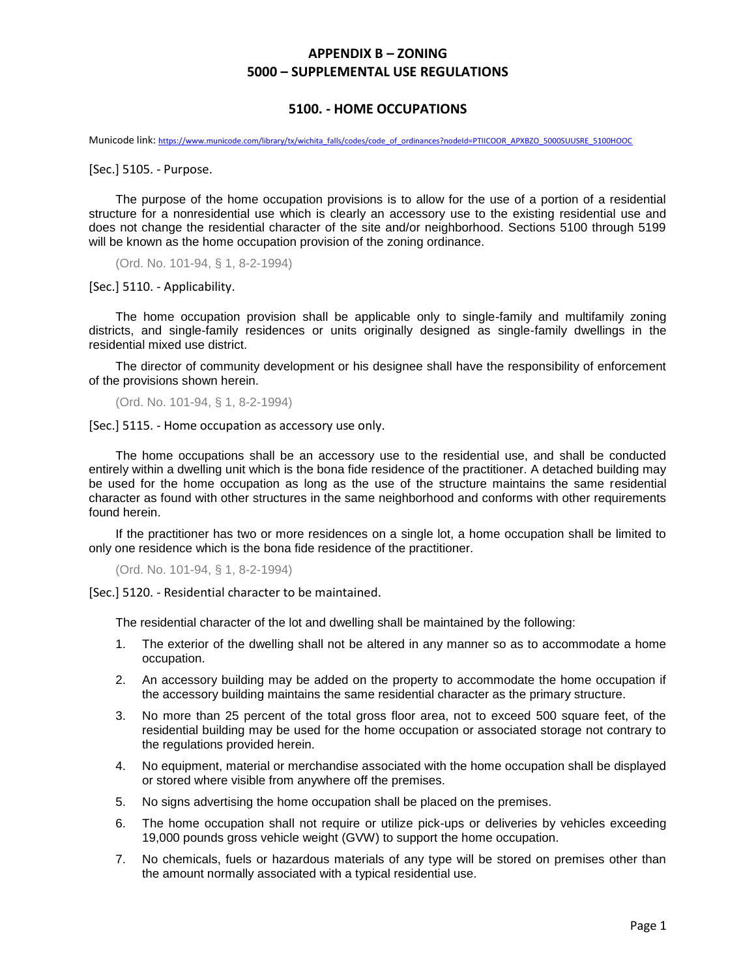## **APPENDIX B – ZONING 5000 – SUPPLEMENTAL USE REGULATIONS**

## **5100. - HOME OCCUPATIONS**

Municode link: [https://www.municode.com/library/tx/wichita\\_falls/codes/code\\_of\\_ordinances?nodeId=PTIICOOR\\_APXBZO\\_5000SUUSRE\\_5100HOOC](https://www.municode.com/library/tx/wichita_falls/codes/code_of_ordinances?nodeId=PTIICOOR_APXBZO_5000SUUSRE_5100HOOC)

[Sec.] 5105. - Purpose.

The purpose of the home occupation provisions is to allow for the use of a portion of a residential structure for a nonresidential use which is clearly an accessory use to the existing residential use and does not change the residential character of the site and/or neighborhood. Sections 5100 through 5199 will be known as the home occupation provision of the zoning ordinance.

(Ord. No. 101-94, § 1, 8-2-1994)

[Sec.] 5110. - Applicability.

The home occupation provision shall be applicable only to single-family and multifamily zoning districts, and single-family residences or units originally designed as single-family dwellings in the residential mixed use district.

The director of community development or his designee shall have the responsibility of enforcement of the provisions shown herein.

(Ord. No. 101-94, § 1, 8-2-1994)

[Sec.] 5115. - Home occupation as accessory use only.

The home occupations shall be an accessory use to the residential use, and shall be conducted entirely within a dwelling unit which is the bona fide residence of the practitioner. A detached building may be used for the home occupation as long as the use of the structure maintains the same residential character as found with other structures in the same neighborhood and conforms with other requirements found herein.

If the practitioner has two or more residences on a single lot, a home occupation shall be limited to only one residence which is the bona fide residence of the practitioner.

(Ord. No. 101-94, § 1, 8-2-1994)

[Sec.] 5120. - Residential character to be maintained.

The residential character of the lot and dwelling shall be maintained by the following:

- 1. The exterior of the dwelling shall not be altered in any manner so as to accommodate a home occupation.
- 2. An accessory building may be added on the property to accommodate the home occupation if the accessory building maintains the same residential character as the primary structure.
- 3. No more than 25 percent of the total gross floor area, not to exceed 500 square feet, of the residential building may be used for the home occupation or associated storage not contrary to the regulations provided herein.
- 4. No equipment, material or merchandise associated with the home occupation shall be displayed or stored where visible from anywhere off the premises.
- 5. No signs advertising the home occupation shall be placed on the premises.
- 6. The home occupation shall not require or utilize pick-ups or deliveries by vehicles exceeding 19,000 pounds gross vehicle weight (GVW) to support the home occupation.
- 7. No chemicals, fuels or hazardous materials of any type will be stored on premises other than the amount normally associated with a typical residential use.